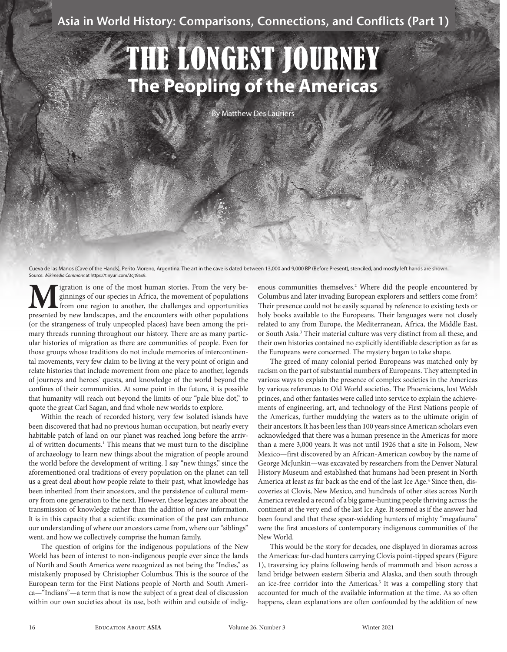# THE LONGEST JOURNEY **The Peopling of the Americas**

By Matthew Des Lauriers

Cueva de las Manos (Cave of the Hands), Perito Moreno, Argentina. The art in the cave is dated between 13,000 and 9,000 BP (Before Present), stenciled, and mostly left hands are shown. Source: *Wikimedia Commons* at https://tinyurl.com/3cjt9ax9.

**M** igration is one of the most human stories. From the very be-<br>ginnings of our species in Africa, the movement of populations<br>presented by new landscapes, and the encounters with other populations ginnings of our species in Africa, the movement of populations from one region to another, the challenges and opportunities presented by new landscapes, and the encounters with other populations (or the strangeness of truly unpeopled places) have been among the primary threads running throughout our history. There are as many particular histories of migration as there are communities of people. Even for those groups whose traditions do not include memories of intercontinental movements, very few claim to be living at the very point of origin and relate histories that include movement from one place to another, legends of journeys and heroes' quests, and knowledge of the world beyond the confines of their communities. At some point in the future, it is possible that humanity will reach out beyond the limits of our "pale blue dot," to quote the great Carl Sagan, and find whole new worlds to explore.

Within the reach of recorded history, very few isolated islands have been discovered that had no previous human occupation, but nearly every habitable patch of land on our planet was reached long before the arrival of written documents.<sup>1</sup> This means that we must turn to the discipline of archaeology to learn new things about the migration of people around the world before the development of writing. I say "new things," since the aforementioned oral traditions of every population on the planet can tell us a great deal about how people relate to their past, what knowledge has been inherited from their ancestors, and the persistence of cultural memory from one generation to the next. However, these legacies are about the transmission of knowledge rather than the addition of new information. It is in this capacity that a scientific examination of the past can enhance our understanding of where our ancestors came from, where our "siblings" went, and how we collectively comprise the human family.

The question of origins for the indigenous populations of the New World has been of interest to non-indigenous people ever since the lands of North and South America were recognized as not being the "Indies," as mistakenly proposed by Christopher Columbus. This is the source of the European term for the First Nations people of North and South America—"Indians"—a term that is now the subject of a great deal of discussion within our own societies about its use, both within and outside of indig-

enous communities themselves.<sup>2</sup> Where did the people encountered by Columbus and later invading European explorers and settlers come from? Their presence could not be easily squared by reference to existing texts or holy books available to the Europeans. Their languages were not closely related to any from Europe, the Mediterranean, Africa, the Middle East, or South Asia.<sup>3</sup> Their material culture was very distinct from all these, and their own histories contained no explicitly identifiable description as far as the Europeans were concerned. The mystery began to take shape.

The greed of many colonial period Europeans was matched only by racism on the part of substantial numbers of Europeans. They attempted in various ways to explain the presence of complex societies in the Americas by various references to Old World societies. The Phoenicians, lost Welsh princes, and other fantasies were called into service to explain the achievements of engineering, art, and technology of the First Nations people of the Americas, further muddying the waters as to the ultimate origin of their ancestors.It has been less than 100 years since American scholars even acknowledged that there was a human presence in the Americas for more than a mere 3,000 years.It was not until 1926 that a site in Folsom, New Mexico—first discovered by an African-American cowboy by the name of George McJunkin—was excavated by researchers from the Denver Natural History Museum and established that humans had been present in North America at least as far back as the end of the last Ice Age.<sup>4</sup> Since then, discoveries at Clovis, New Mexico, and hundreds of other sites across North America revealed a record of a big game-hunting people thriving across the continent at the very end of the last Ice Age. It seemed as if the answer had been found and that these spear-wielding hunters of mighty "megafauna" were the first ancestors of contemporary indigenous communities of the New World.

This would be the story for decades, one displayed in dioramas across the Americas: fur-clad hunters carrying Clovis point-tipped spears (Figure 1), traversing icy plains following herds of mammoth and bison across a land bridge between eastern Siberia and Alaska, and then south through an ice-free corridor into the Americas.<sup>5</sup> It was a compelling story that accounted for much of the available information at the time. As so often happens, clean explanations are often confounded by the addition of new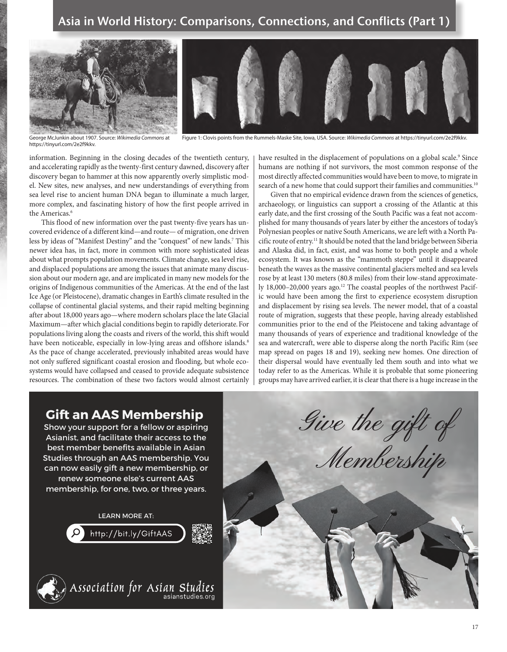

George McJunkin about 1907. Source: Wikimedia Commons at<br>https://tinyurl.com/2e2f9kkv.

Figure 1: Clovis points from the Rummels-Maske Site, Iowa, USA. Source: *Wikimedia Commons* at https://tinyurl.com/2e2f9kkv.

information. Beginning in the closing decades of the twentieth century, and accelerating rapidly as the twenty-first century dawned, discovery after discovery began to hammer at this now apparently overly simplistic model. New sites, new analyses, and new understandings of everything from sea level rise to ancient human DNA began to illuminate a much larger, more complex, and fascinating history of how the first people arrived in the Americas. $6$ 

This flood of new information over the past twenty-five years has uncovered evidence of a different kind—and route— of migration, one driven less by ideas of "Manifest Destiny" and the "conquest" of new lands.<sup>7</sup> This newer idea has, in fact, more in common with more sophisticated ideas about what prompts population movements. Climate change, sea level rise, and displaced populations are among the issues that animate many discussion about our modern age, and are implicated in many new models for the origins of Indigenous communities of the Americas. At the end of the last Ice Age (or Pleistocene), dramatic changes in Earth's climate resulted in the collapse of continental glacial systems, and their rapid melting beginning after about 18,000 years ago—where modern scholars place the late Glacial Maximum—after which glacial conditions begin to rapidly deteriorate.For populations living along the coasts and rivers of the world, this shift would have been noticeable, especially in low-lying areas and offshore islands.<sup>8</sup> As the pace of change accelerated, previously inhabited areas would have not only suffered significant coastal erosion and flooding, but whole ecosystems would have collapsed and ceased to provide adequate subsistence resources. The combination of these two factors would almost certainly

have resulted in the displacement of populations on a global scale.<sup>9</sup> Since humans are nothing if not survivors, the most common response of the most directly affected communities would have been to move, to migrate in search of a new home that could support their families and communities.<sup>10</sup>

Given that no empirical evidence drawn from the sciences of genetics, archaeology, or linguistics can support a crossing of the Atlantic at this early date, and the first crossing of the South Pacific was a feat not accomplished for many thousands of years later by either the ancestors of today's Polynesian peoples or native South Americans, we are left with a North Pacific route of entry.11 It should be noted that the land bridge between Siberia and Alaska did, in fact, exist, and was home to both people and a whole ecosystem. It was known as the "mammoth steppe" until it disappeared beneath the waves as the massive continental glaciers melted and sea levels rose by at least 130 meters (80.8 miles) from their low-stand approximately 18,000–20,000 years ago.<sup>12</sup> The coastal peoples of the northwest Pacific would have been among the first to experience ecosystem disruption and displacement by rising sea levels. The newer model, that of a coastal route of migration, suggests that these people, having already established communities prior to the end of the Pleistocene and taking advantage of many thousands of years of experience and traditional knowledge of the sea and watercraft, were able to disperse along the north Pacific Rim (see map spread on pages 18 and 19), seeking new homes. One direction of their dispersal would have eventually led them south and into what we today refer to as the Americas. While it is probable that some pioneering groups may have arrived earlier, it is clear that there is a huge increase in the

## **Gift an AAS Membership**

Show your support for a fellow or aspiring Asianist, and facilitate their access to the best member benefits available in Asian Studies through an AAS membership. You can now easily gift a new membership, or renew someone else's current AAS membership, for one, two, or three years.

LEARN MORE AT:





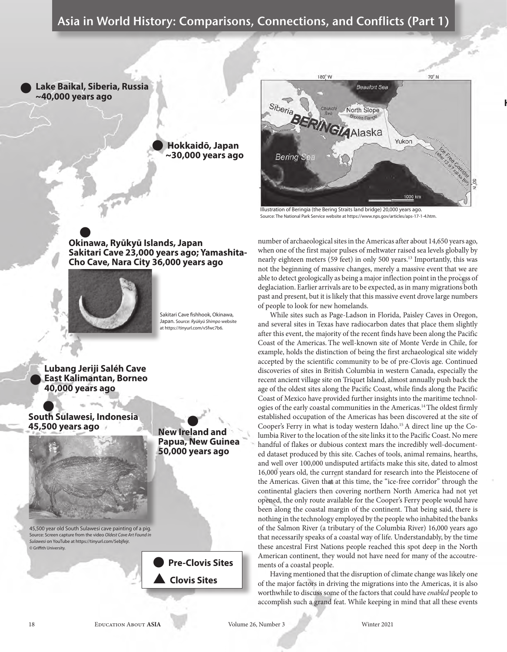l **Lake Baikal, Siberia, Russia ~40,000 years ago**



#### $\bullet$ **Okinawa, Ryūkyū Islands, Japan Sakitari Cave 23,000 years ago; Yamashita-Cho Cave, Nara City 36,000 years ago**



Sakitari Cave fishhook, Okinawa, Japan. Source: *Ryūkyū Shimpo* website at https://tinyurl.com/v5fwc7b6.

**Lubang Jeriji Saléh Cave East Kalimantan, Borneo 40,000 years ago** l

 $\bullet$ **South Sulawesi, Indonesia 45,500 years ago** l



**New Ireland and Papua, New Guinea 50,000 years ago**

45,500 year old South Sulawesi cave painting of a pig. Source: Screen capture from the video *Oldest Cave Art Found in Sulawesi* on YouTube at https://tinyurl.com/5ebjfejr. © Griffith University.

> l **Pre-Clovis Sites** s **Clovis Sites**



**Haida Gwaii, 13,100** 

Source: The National Park Service website at https://www.nps.gov/articles/aps-17-1-4.htm.

number of archaeological sites in the Americas after about 14,650 years ago, when one of the first major pulses of meltwater raised sea levels globally by nearly eighteen meters (59 feet) in only 500 years.<sup>13</sup> Importantly, this was not the beginning of massive changes, merely a massive event that we are able to detect geologically as being a major inflection point in the process of deglaciation. Earlier arrivals are to be expected, as in many migrations both past and present, but it is likely that this massive event drove large numbers of people to look for new homelands.

While sites such as Page-Ladson in Florida, Paisley Caves in Oregon, and several sites in Texas have radiocarbon dates that place them slightly after this event, the majority of the recent finds have been along the Pacific Coast of the Americas. The well-known site of Monte Verde in Chile, for example, holds the distinction of being the first archaeological site widely accepted by the scientific community to be of pre-Clovis age. Continued discoveries of sites in British Columbia in western Canada, especially the recent ancient village site on Triquet Island, almost annually push back the age of the oldest sites along the Pacific Coast, while finds along the Pacific Coast of Mexico have provided further insights into the maritime technologies of the early coastal communities in the Americas.14 The oldest firmly established occupation of the Americas has been discovered at the site of Cooper's Ferry in what is today western Idaho.15 A direct line up the Columbia River to the location of the site links it to the Pacific Coast. No mere handful of flakes or dubious context mars the incredibly well-documented dataset produced by this site. Caches of tools, animal remains, hearths, and well over 100,000 undisputed artifacts make this site, dated to almost 16,000 years old, the current standard for research into the Pleistocene of the Americas. Given that at this time, the "ice-free corridor" through the continental glaciers then covering northern North America had not yet opened, the only route available for the Cooper's Ferry people would have been along the coastal margin of the continent. That being said, there is nothing in the technology employed by the people who inhabited the banks of the Salmon River (a tributary of the Columbia River) 16,000 years ago that necessarily speaks of a coastal way of life. Understandably, by the time these ancestral First Nations people reached this spot deep in the North American continent, they would not have need for many of the accoutrements of a coastal people.

Having mentioned that the disruption of climate change was likely one of the major factors in driving the migrations into the Americas, it is also worthwhile to discuss some of the factors that could have *enabled* people to accomplish such a grand feat. While keeping in mind that all these events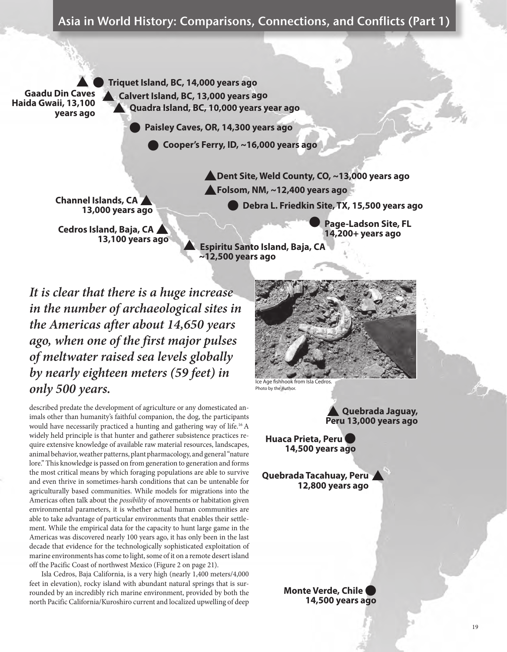state of the As **Gaadu Din Caves Haida Gwaii, 13,100 years ago** 

l **Triquet Island, BC, 14,000 years ago** s **Calvert Island, BC, 13,000 years ago** s **Quadra Island, BC, 10,000 years year ago**

l **Paisley Caves, OR, 14,300 years ago**

l **Cooper's Ferry, ID, ~16,000 years ago**

**~12,500 years ago**

**Channel Islands, CA 13,000 years ago**

**Cedros Island, Baja, CA / 13,100 years ago** **A** Dent Site, Weld County, CO, ~13,000 years ago **A** Folsom, NM, ~12,400 years ago

l **Page-Ladson Site, FL** 

 **14,200+ years ago**  s **Espiritu Santo Island, Baja, CA**

l **Debra L. Friedkin Site, TX, 15,500 years ago**

*It is clear that there is a huge increase in the number of archaeological sites in the Americas after about 14,650 years ago, when one of the first major pulses of meltwater raised sea levels globally by nearly eighteen meters (59 feet) in*  **only 500 years.** The Age fishhook from Isla Cedros

described predate the development of agriculture or any domesticated animals other than humanity's faithful companion, the dog, the participants would have necessarily practiced a hunting and gathering way of life.16 A widely held principle is that hunter and gatherer subsistence practices require extensive knowledge of available raw material resources, landscapes, animal behavior, weather patterns, plant pharmacology, and general "nature lore." This knowledge is passed on from generation to generation and forms the most critical means by which foraging populations are able to survive and even thrive in sometimes-harsh conditions that can be untenable for agriculturally based communities. While models for migrations into the Americas often talk about the *possibility* of movements or habitation given environmental parameters, it is whether actual human communities are able to take advantage of particular environments that enables their settlement. While the empirical data for the capacity to hunt large game in the Americas was discovered nearly 100 years ago, it has only been in the last decade that evidence for the technologically sophisticated exploitation of marine environments has come to light, some of it on a remote desert island off the Pacific Coast of northwest Mexico (Figure 2 on page 21).

Isla Cedros, Baja California, is a very high (nearly 1,400 meters/4,000 feet in elevation), rocky island with abundant natural springs that is surrounded by an incredibly rich marine environment, provided by both the north Pacific California/Kuroshiro current and localized upwelling of deep



Photo by the Author.

**Quebrada Jaguay, Peru 13,000 years ago**  $\blacktriangle$ 

 **Huaca Prieta, Peru** l **14,500 years ago**

**Quebrada Tacahuay, Peru**  s **12,800 years ago**

> **Monte Verde, Chile** l **14,500 years ago**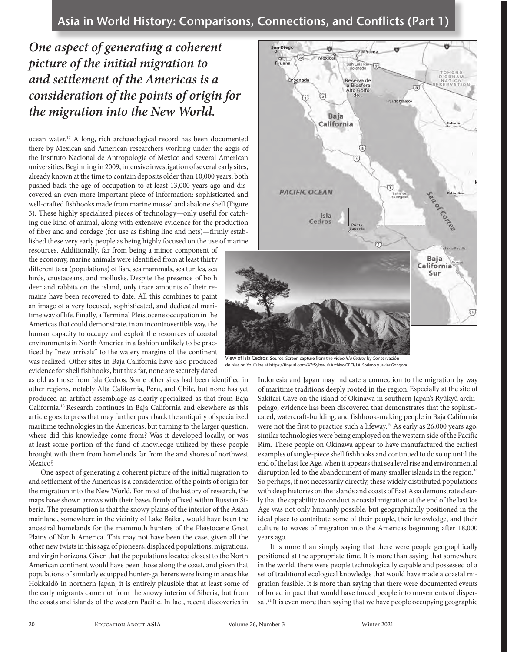# *One aspect of generating a coherent picture of the initial migration to and settlement of the Americas is a consideration of the points of origin for the migration into the New World.*

ocean water.17 A long, rich archaeological record has been documented there by Mexican and American researchers working under the aegis of the Instituto Nacional de Antropologia of Mexico and several American universities. Beginning in 2009, intensive investigation of several early sites, already known at the time to contain deposits older than 10,000 years, both pushed back the age of occupation to at least 13,000 years ago and discovered an even more important piece of information: sophisticated and well-crafted fishhooks made from marine mussel and abalone shell (Figure 3). These highly specialized pieces of technology—only useful for catching one kind of animal, along with extensive evidence for the production of fiber and and cordage (for use as fishing line and nets)—firmly established these very early people as being highly focused on the use of marine

resources. Additionally, far from being a minor component of the economy, marine animals were identified from at least thirty different taxa (populations) of fish, sea mammals, sea turtles, sea birds, crustaceans, and mollusks. Despite the presence of both deer and rabbits on the island, only trace amounts of their remains have been recovered to date. All this combines to paint an image of a very focused, sophisticated, and dedicated maritime way of life. Finally, a Terminal Pleistocene occupation in the Americas that could demonstrate, in an incontrovertible way, the human capacity to occupy and exploit the resources of coastal environments in North America in a fashion unlikely to be practiced by "new arrivals" to the watery margins of the continent was realized. Other sites in Baja California have also produced evidence for shell fishhooks, but thus far, none are securely dated

as old as those from Isla Cedros. Some other sites had been identified in other regions, notably Alta California, Peru, and Chile, but none has yet produced an artifact assemblage as clearly specialized as that from Baja California.18 Research continues in Baja California and elsewhere as this article goes to press that may further push back the antiquity of specialized maritime technologies in the Americas, but turning to the larger question, where did this knowledge come from? Was it developed locally, or was at least some portion of the fund of knowledge utilized by these people brought with them from homelands far from the arid shores of northwest Mexico?

One aspect of generating a coherent picture of the initial migration to and settlement of the Americas is a consideration of the points of origin for the migration into the New World. For most of the history of research, the maps have shown arrows with their bases firmly affixed within Russian Siberia. The presumption is that the snowy plains of the interior of the Asian mainland, somewhere in the vicinity of Lake Baikal, would have been the ancestral homelands for the mammoth hunters of the Pleistocene Great Plains of North America. This may not have been the case, given all the other new twists in this saga of pioneers, displaced populations, migrations, and virgin horizons. Given that the populations located closest to the North American continent would have been those along the coast, and given that populations of similarly equipped hunter-gatherers were living in areas like Hokkaidō in northern Japan, it is entirely plausible that at least some of the early migrants came not from the snowy interior of Siberia, but from the coasts and islands of the western Pacific. In fact, recent discoveries in



View of Isla Cedros. Source: Screen capture from the video *Isla Cedros* by Conservación de Islas on YouTube at https://tinyurl.com/47f5ybsv. © Archivo GECI/J.A. Soriano y Javier Gongora

Indonesia and Japan may indicate a connection to the migration by way of maritime traditions deeply rooted in the region.Especially at the site of Sakitari Cave on the island of Okinawa in southern Japan's Ryūkyū archipelago, evidence has been discovered that demonstrates that the sophisticated, watercraft-building, and fishhook-making people in Baja California were not the first to practice such a lifeway.<sup>19</sup> As early as 26,000 years ago, similar technologies were being employed on the western side of the Pacific Rim. These people on Okinawa appear to have manufactured the earliest examples of single-piece shell fishhooks and continued to do so up until the end of the last Ice Age, when it appears that sea level rise and environmental disruption led to the abandonment of many smaller islands in the region.<sup>20</sup> So perhaps, if not necessarily directly, these widely distributed populations with deep histories on the islands and coasts of East Asia demonstrate clearly that the capability to conduct a coastal migration at the end of the last Ice Age was not only humanly possible, but geographically positioned in the ideal place to contribute some of their people, their knowledge, and their culture to waves of migration into the Americas beginning after 18,000 years ago.

It is more than simply saying that there were people geographically positioned at the appropriate time. It is more than saying that somewhere in the world, there were people technologically capable and possessed of a set of traditional ecological knowledge that would have made a coastal migration feasible. It is more than saying that there were documented events of broad impact that would have forced people into movements of dispersal.<sup>21</sup> It is even more than saying that we have people occupying geographic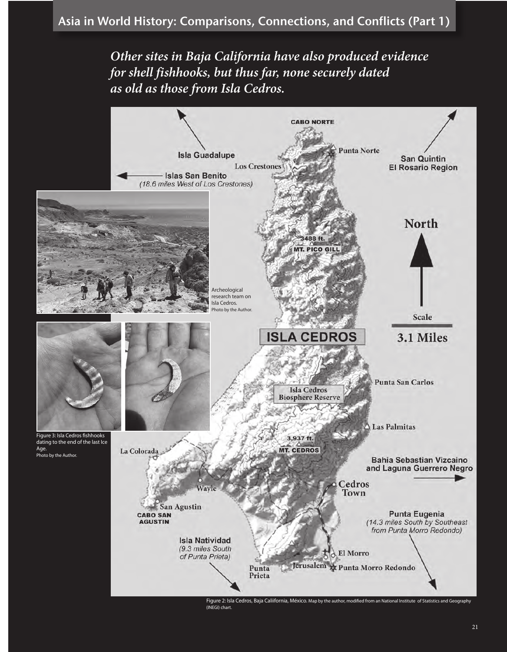*Other sites in Baja California have also produced evidence for shell fishhooks, but thus far, none securely dated as old as those from Isla Cedros.* 



(INEGI) chart.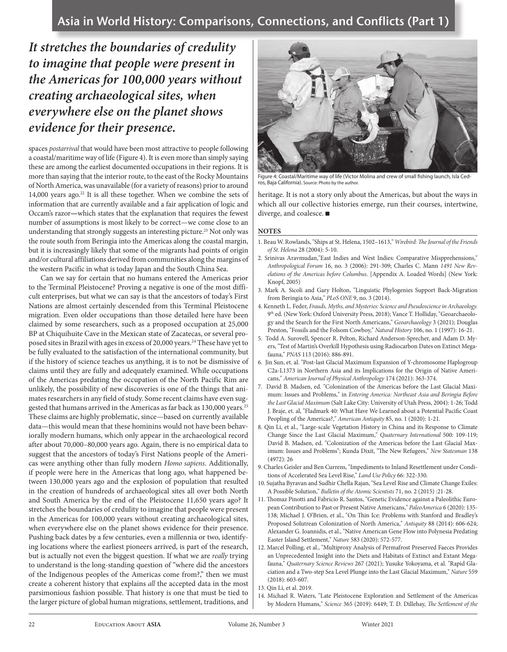*It stretches the boundaries of credulity to imagine that people were present in the Americas for 100,000 years without creating archaeological sites, when everywhere else on the planet shows evidence for their presence.*

spaces *postarrival* that would have been most attractive to people following a coastal/maritime way of life (Figure 4). It is even more than simply saying these are among the earliest documented occupations in their regions. It is more than saying that the interior route, to the east of the Rocky Mountains of North America, was unavailable (for a variety of reasons) prior to around 14,000 years ago.<sup>22</sup> It is all these together. When we combine the sets of information that are currently available and a fair application of logic and Occam's razor**—**which states that the explanation that requires the fewest number of assumptions is most likely to be correct—we come close to an understanding that strongly suggests an interesting picture.<sup>23</sup> Not only was the route south from Beringia into the Americas along the coastal margin, but it is increasingly likely that some of the migrants had points of origin and/or cultural affiliations derived from communities along the margins of the western Pacific in what is today Japan and the South China Sea.

Can we say for certain that no humans entered the Americas prior to the Terminal Pleistocene? Proving a negative is one of the most difficult enterprises, but what we can say is that the ancestors of today's First Nations are almost certainly descended from this Terminal Pleistocene migration. Even older occupations than those detailed here have been claimed by some researchers, such as a proposed occupation at 25,000 BP at Chiquihuite Cave in the Mexican state of Zacatecas, or several proposed sites in Brazil with ages in excess of 20,000 years.<sup>24</sup> These have yet to be fully evaluated to the satisfaction of the international community, but if the history of science teaches us anything, it is to not be dismissive of claims until they are fully and adequately examined. While occupations of the Americas predating the occupation of the North Pacific Rim are unlikely, the possibility of new discoveries is one of the things that animates researchers in any field of study. Some recent claims have even suggested that humans arrived in the Americas as far back as 130,000 years.<sup>25</sup> These claims are highly problematic, since—based on currently available data—this would mean that these hominins would not have been behaviorally modern humans, which only appear in the archaeological record after about 70,000–80,000 years ago. Again, there is no empirical data to suggest that the ancestors of today's First Nations people of the Americas were anything other than fully modern *Homo sapiens*. Additionally, if people were here in the Americas that long ago, what happened between 130,000 years ago and the explosion of population that resulted in the creation of hundreds of archaeological sites all over both North and South America by the end of the Pleistocene 11,650 years ago? It stretches the boundaries of credulity to imagine that people were present in the Americas for 100,000 years without creating archaeological sites, when everywhere else on the planet shows evidence for their presence. Pushing back dates by a few centuries, even a millennia or two, identifying locations where the earliest pioneers arrived, is part of the research, but is actually not even the biggest question. If what we are *really* trying to understand is the long-standing question of "where did the ancestors of the Indigenous peoples of the Americas come from?," then we must create a coherent history that explains *all* the accepted data in the most parsimonious fashion possible. That history is one that must be tied to the larger picture of global human migrations, settlement, traditions, and



Figure 4: Coastal/Maritime way of life (Victor Molina and crew of small fishing launch, Isla Cedros, Baja California). Source: Photo by the author.

heritage. It is not a story only about the Americas, but about the ways in which all our collective histories emerge, run their courses, intertwine, diverge, and coalesce.

#### **NOTES**

- 1. Beau W. Rowlands, "Ships at St. Helena, 1502–1613," *Wirebird: The Journal of the Friends of St. Helena* 28 (2004): 5-10.
- 2. Srinivas Aravmudan,"East Indies and West Indies: Comparative Mispprehensions," *Anthropological Forum* 16, no. 3 (2006): 291-309; Charles C. Mann *1491 New Revelations of the Americas before Columbus*. [Appendix A. Loaded Words] (New York: Knopf, 2005)
- 3. Mark A. Sicoli and Gary Holton, "Linguistic Phylogenies Support Back-Migration from Beringia to Asia," *PLoS ONE* 9, no. 3 (2014).
- 4. Kenneth L. Feder, *Frauds, Myths, and Mysteries: Science and Pseudoscience in Archaeology.* 9th ed. (New York: Oxford University Press, 2018); Vance T. Holliday, "Geoarchaeology and the Search for the First North Americans," *Geoarchaeology* 3 (2021); Douglas Preston, "Fossils and the Folsom Cowboy," *Natural History* 106, no. 1 (1997): 16-21.
- 5. Todd A. Surovell, Spencer R. Pelton, Richard Anderson-Sprecher, and Adam D. Myers, "Test of Martin's Overkill Hypothesis using Radiocarbon Dates on Extinct Megafauna," *PNAS* 113 (2016): 886-891.
- 6. Jin Sun, et. al. "Post-last Glacial Maximum Expansion of Y-chromosome Haplogroup C2a-L1373 in Northern Asia and its Implications for the Origin of Native Americans," *American Journal of Physical Anthropology* 174 (2021): 363-374.
- 7. David B. Madsen, ed. "Colonization of the Americas before the Last Glacial Maximum: Issues and Problems," in *Entering America: Northeast Asia and Beringia Before the Last Glacial Maximum* (Salt Lake City: University of Utah Press, 2004): 1-26; Todd J. Braje, et. al, "Fladmark 40: What Have We Learned about a Potential Pacific Coast Peopling of the Americas?," *American Antiquity* 85, no. 1 (2020): 1-21.
- 8. Qin Li, et al., "Large-scale Vegetation History in China and its Response to Climate Change Since the Last Glacial Maximum," *Quaternary International* 500: 109-119; David B. Madsen, ed. "Colonization of the Americas before the Last Glacial Maximum: Issues and Problems"; Kunda Dixit, "The New Refugees," *New Statesman* 138 (4972): 26
- 9. Charles Geisler and Ben Currens, "Impediments to Inland Resettlement under Conditions of Accelerated Sea Level Rise," *Land Use Policy* 66: 322-330.
- 10. Sujatha Byravan and Sudhir Chella Rajan, "Sea Level Rise and Climate Change Exiles: A Possible Solution," *Bulletin of the Atomic Scientists* 71, no. 2 (2015) :21-28.
- 11. Thomaz Pinotti and Fabricio R. Santos, "Genetic Evidence against a Paleolithic European Contribution to Past or Present Native Americans," *PaleoAmerica* 6 (2020): 135- 138; Michael J. O'Brien, et al., "On Thin Ice: Problems with Stanford and Bradley's Proposed Solutrean Colonization of North America," *Antiquity* 88 (2014): 606-624; Alexander G. Ioannidis, et al., "Native American Gene Flow into Polynesia Predating Easter Island Settlement," *Nature* 583 (2020): 572-577.
- 12. Marcel Polling, et al., "Multiproxy Analysis of Permafrost Preserved Faeces Provides an Unprecedented Insight into the Diets and Habitats of Extinct and Extant Megafauna," *Quaternary Science Reviews* 267 (2021); Yusuke Yokoyama, et al. "Rapid Glaciation and a Two-step Sea Level Plunge into the Last Glacial Maximum," *Nature* 559 (2018): 603-607.
- 13. Qin Li, et al. 2019.
- 14. Michael R. Waters, "Late Pleistocene Exploration and Settlement of the Americas by Modern Humans," *Science* 365 (2019): 6449; T. D. Dillehay, *The Settlement of the*